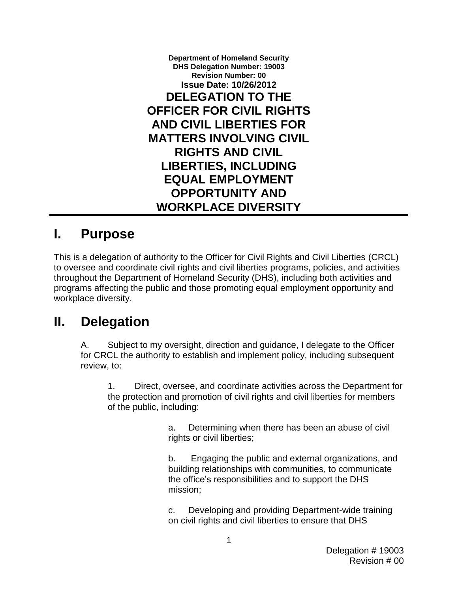**Department of Homeland Security DHS Delegation Number: 19003 Revision Number: 00 Issue Date: 10/26/2012 DELEGATION TO THE OFFICER FOR CIVIL RIGHTS AND CIVIL LIBERTIES FOR MATTERS INVOLVING CIVIL RIGHTS AND CIVIL LIBERTIES, INCLUDING EQUAL EMPLOYMENT OPPORTUNITY AND WORKPLACE DIVERSITY**

#### **I. Purpose**

 This is a delegation of authority to the Officer for Civil Rights and Civil Liberties (CRCL) to oversee and coordinate civil rights and civil liberties programs, policies, and activities throughout the Department of Homeland Security (DHS), including both activities and programs affecting the public and those promoting equal employment opportunity and workplace diversity.

## **II. Delegation**

A. Subject to my oversight, direction and guidance, I delegate to the Officer for CRCL the authority to establish and implement policy, including subsequent review, to:

 the protection and promotion of civil rights and civil liberties for members 1. Direct, oversee, and coordinate activities across the Department for of the public, including:

> a. Determining when there has been an abuse of civil rights or civil liberties;

 $b_{-}$  the office's responsibilities and to support the DHS mission: b. Engaging the public and external organizations, and building relationships with communities, to communicate

mission;<br>c. Developing and providing Department-wide training on civil rights and civil liberties to ensure that DHS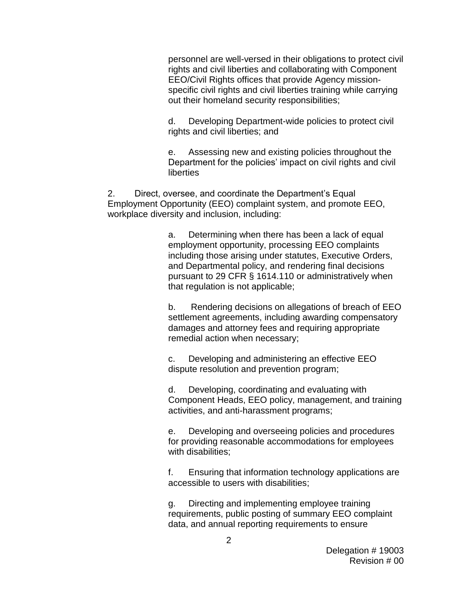specific civil rights and civil liberties training while carrying out their homeland security responsibilities; personnel are well-versed in their obligations to protect civil rights and civil liberties and collaborating with Component EEO/Civil Rights offices that provide Agency mission-

 rights and civil liberties; and d. Developing Department-wide policies to protect civil

 Department for the policies' impact on civil rights and civil e. Assessing new and existing policies throughout the liberties

 workplace diversity and inclusion, including: 2. Direct, oversee, and coordinate the Department's Equal Employment Opportunity (EEO) complaint system, and promote EEO,

> and Departmental policy, and rendering final decisions pursuant to 29 CFR § 1614.110 or administratively when that regulation is not applicable; a. Determining when there has been a lack of equal employment opportunity, processing EEO complaints including those arising under statutes, Executive Orders,

 $h_{-}$  settlement agreements, including awarding compensatory remedial action when necessary; Rendering decisions on allegations of breach of EEO damages and attorney fees and requiring appropriate

 c. Developing and administering an effective EEO dispute resolution and prevention program;

 d. Developing, coordinating and evaluating with activities, and anti-harassment programs; Component Heads, EEO policy, management, and training

 e. Developing and overseeing policies and procedures for providing reasonable accommodations for employees with disabilities;

accessible to users with disabilities: f. Ensuring that information technology applications are

 data, and annual reporting requirements to ensure g. Directing and implementing employee training requirements, public posting of summary EEO complaint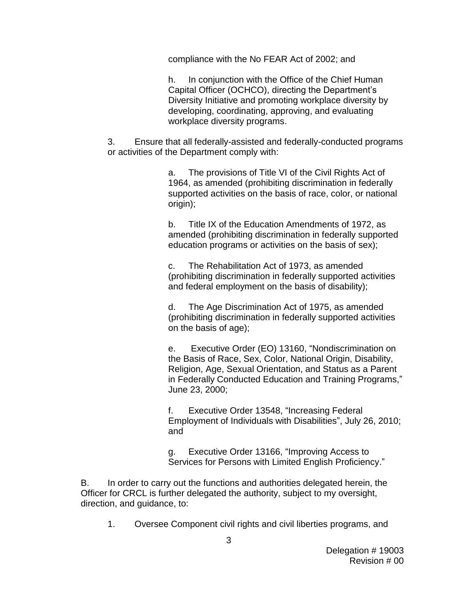compliance with the No FEAR Act of 2002; and

h. In conjunction with the Office of the Chief Human Capital Officer (OCHCO), directing the Department's Diversity Initiative and promoting workplace diversity by developing, coordinating, approving, and evaluating workplace diversity programs.

 3. Ensure that all federally-assisted and federally-conducted programs or activities of the Department comply with:

> 1964, as amended (prohibiting discrimination in federally supported activities on the basis of race, color, or national a. The provisions of Title VI of the Civil Rights Act of origin);

> $b<sub>1</sub>$  amended (prohibiting discrimination in federally supported education programs or activities on the basis of sex); Title IX of the Education Amendments of 1972, as

 $C_{1}$  and federal employment on the basis of disability); The Rehabilitation Act of 1973, as amended (prohibiting discrimination in federally supported activities

 $d_{-}$ The Age Discrimination Act of 1975, as amended (prohibiting discrimination in federally supported activities on the basis of age);

 $e_{1}$  June 23, 2000; Executive Order (EO) 13160, "Nondiscrimination on the Basis of Race, Sex, Color, National Origin, Disability, Religion, Age, Sexual Orientation, and Status as a Parent in Federally Conducted Education and Training Programs,"

 f. Executive Order 13548, "Increasing Federal Employment of Individuals with Disabilities", July 26, 2010; and

g. Executive Order 13166, "Improving Access to Services for Persons with Limited English Proficiency."

 B. In order to carry out the functions and authorities delegated herein, the Officer for CRCL is further delegated the authority, subject to my oversight, direction, and guidance, to:

1. Oversee Component civil rights and civil liberties programs, and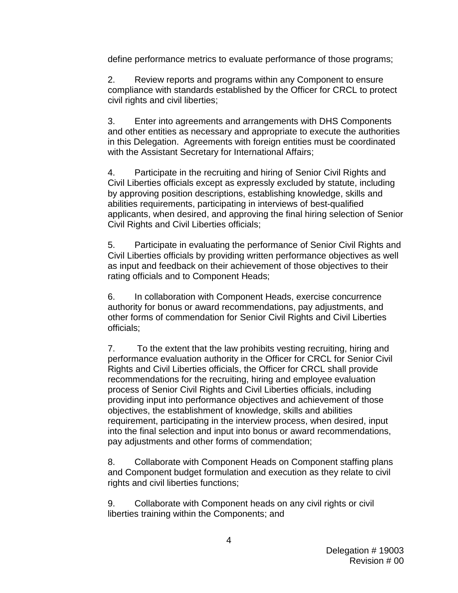define performance metrics to evaluate performance of those programs;

2. Review reports and programs within any Component to ensure compliance with standards established by the Officer for CRCL to protect civil rights and civil liberties;

3. Enter into agreements and arrangements with DHS Components and other entities as necessary and appropriate to execute the authorities in this Delegation. Agreements with foreign entities must be coordinated with the Assistant Secretary for International Affairs;

 4. Participate in the recruiting and hiring of Senior Civil Rights and by approving position descriptions, establishing knowledge, skills and applicants, when desired, and approving the final hiring selection of Senior Civil Liberties officials except as expressly excluded by statute, including abilities requirements, participating in interviews of best-qualified Civil Rights and Civil Liberties officials;

 5. Participate in evaluating the performance of Senior Civil Rights and as input and feedback on their achievement of those objectives to their rating officials and to Component Heads; Civil Liberties officials by providing written performance objectives as well

 other forms of commendation for Senior Civil Rights and Civil Liberties 6. In collaboration with Component Heads, exercise concurrence authority for bonus or award recommendations, pay adjustments, and officials;

7. Rights and Civil Liberties officials, the Officer for CRCL shall provide recommendations for the recruiting, hiring and employee evaluation process of Senior Civil Rights and Civil Liberties officials, including into the final selection and input into bonus or award recommendations, pay adjustments and other forms of commendation; To the extent that the law prohibits vesting recruiting, hiring and performance evaluation authority in the Officer for CRCL for Senior Civil providing input into performance objectives and achievement of those objectives, the establishment of knowledge, skills and abilities requirement, participating in the interview process, when desired, input

 and Component budget formulation and execution as they relate to civil 8. Collaborate with Component Heads on Component staffing plans rights and civil liberties functions;

 9. Collaborate with Component heads on any civil rights or civil liberties training within the Components; and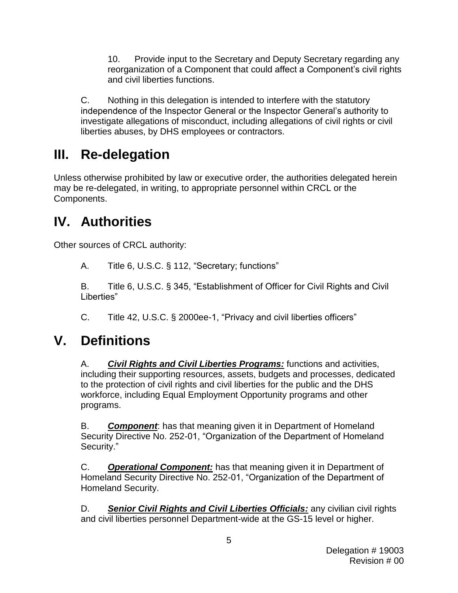10. Provide input to the Secretary and Deputy Secretary regarding any reorganization of a Component that could affect a Component's civil rights and civil liberties functions.

C. Nothing in this delegation is intended to interfere with the statutory independence of the Inspector General or the Inspector General's authority to investigate allegations of misconduct, including allegations of civil rights or civil liberties abuses, by DHS employees or contractors.

## **III. Re-delegation**

 Unless otherwise prohibited by law or executive order, the authorities delegated herein may be re-delegated, in writing, to appropriate personnel within CRCL or the Components.

# **IV. Authorities**

Other sources of CRCL authority:

А. Title 6, U.S.C. § 112, "Secretary; functions"

В. B. Title 6, U.S.C. § 345, "Establishment of Officer for Civil Rights and Civil Liberties"

C. Title 42, U.S.C. § 2000ee-1, "Privacy and civil liberties officers"

## **V. Definitions**

 A. *Civil Rights and Civil Liberties Programs:* functions and activities, including their supporting resources, assets, budgets and processes, dedicated to the protection of civil rights and civil liberties for the public and the DHS programs. workforce, including Equal Employment Opportunity programs and other

Security." B. **Component**: has that meaning given it in Department of Homeland Security Directive No. 252-01, "Organization of the Department of Homeland

 Homeland Security. C. **Operational Component:** has that meaning given it in Department of Homeland Security Directive No. 252-01, "Organization of the Department of

D. **Senior Civil Rights and Civil Liberties Officials:** any civilian civil rights and civil liberties personnel Department-wide at the GS-15 level or higher.